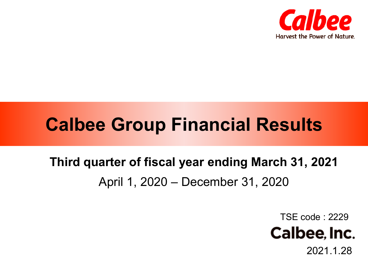

# **Calbee Group Financial Results**

# **Third quarter of fiscal year ending March 31, 2021** April 1, 2020 – December 31, 2020

TSE code : 2229



2021.1.28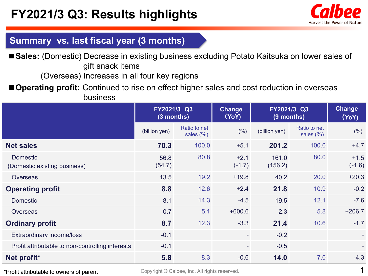

### **Summary vs. last fiscal year (3 months)**

■ Sales: (Domestic) Decrease in existing business excluding Potato Kaitsuka on lower sales of gift snack items

(Overseas) Increases in all four key regions

■ **Operating profit:** Continued to rise on effect higher sales and cost reduction in overseas business

|                                                  | FY2021/3 Q3<br>(3 months) |                               | <b>Change</b><br>(YoY)   |                  | FY2021/3 Q3<br>(9 months)     |                    |
|--------------------------------------------------|---------------------------|-------------------------------|--------------------------|------------------|-------------------------------|--------------------|
|                                                  | (billion yen)             | Ratio to net<br>sales $(\% )$ | (% )                     | (billion yen)    | Ratio to net<br>sales $(\% )$ | (% )               |
| <b>Net sales</b>                                 | 70.3                      | 100.0                         | $+5.1$                   | 201.2            | 100.0                         | $+4.7$             |
| <b>Domestic</b><br>(Domestic existing business)  | 56.8<br>(54.7)            | 80.8                          | $+2.1$<br>$(-1.7)$       | 161.0<br>(156.2) | 80.0                          | $+1.5$<br>$(-1.6)$ |
| <b>Overseas</b>                                  | 13.5                      | 19.2                          | $+19.8$                  | 40.2             | 20.0                          | $+20.3$            |
| <b>Operating profit</b>                          | 8.8                       | 12.6                          | $+2.4$                   | 21.8             | 10.9                          | $-0.2$             |
| <b>Domestic</b>                                  | 8.1                       | 14.3                          | $-4.5$                   | 19.5             | 12.1                          | $-7.6$             |
| <b>Overseas</b>                                  | 0.7                       | 5.1                           | $+600.6$                 | 2.3              | 5.8                           | $+206.7$           |
| <b>Ordinary profit</b>                           | 8.7                       | 12.3                          | $-3.3$                   | 21.4             | 10.6                          | $-1.7$             |
| <b>Extraordinary income/loss</b>                 | $-0.1$                    |                               | $\overline{\phantom{a}}$ | $-0.2$           |                               | ÷                  |
| Profit attributable to non-controlling interests | $-0.1$                    |                               | $\overline{\phantom{a}}$ | $-0.5$           |                               | ÷                  |
| Net profit <sup>*</sup>                          | 5.8                       | 8.3                           | $-0.6$                   | 14.0             | 7.0                           | $-4.3$             |

\*Profit attributable to owners of parent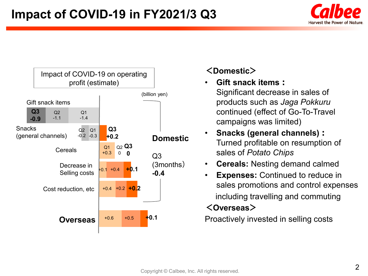



### **<Domestic>**

• **Gift snack items:** Significant decrease in sales of products such as *Jaga Pokkuru*

continued (effect of Go-To-Travel campaigns was limited)

- **Snacks (general channels):** Turned profitable on resumption of sales of *Potato Chips*
- **Cereals:** Nesting demand calmed
- **Expenses:** Continued to reduce in sales promotions and control expenses including travelling and commuting

# **<Overseas>**

Proactively invested in selling costs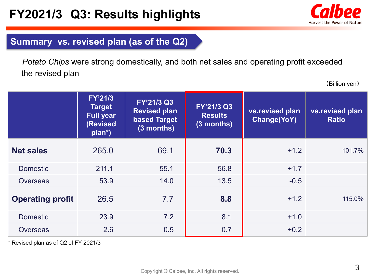

## **Summary vs. revised plan (as of the Q2)**

*Potato Chips* were strong domestically, and both net sales and operating profit exceeded the revised plan

(Billion yen)

|                         | <b>FY'21/3</b><br><b>Target</b><br><b>Full year</b><br>(Revised<br>plan <sup>*</sup> ) | FY'21/3 Q3<br><b>Revised plan</b><br><b>based Target</b><br>(3 months) | FY'21/3 Q3<br><b>Results</b><br>(3 months) | vs.revised plan<br><b>Change(YoY)</b> | vs.revised plan<br><b>Ratio</b> |
|-------------------------|----------------------------------------------------------------------------------------|------------------------------------------------------------------------|--------------------------------------------|---------------------------------------|---------------------------------|
| <b>Net sales</b>        | 265.0                                                                                  | 69.1                                                                   | 70.3                                       | $+1.2$                                | 101.7%                          |
| <b>Domestic</b>         | 211.1                                                                                  | 55.1                                                                   | 56.8                                       | $+1.7$                                |                                 |
| <b>Overseas</b>         | 53.9                                                                                   | 14.0                                                                   | 13.5                                       | $-0.5$                                |                                 |
| <b>Operating profit</b> | 26.5                                                                                   | 7.7                                                                    | 8.8                                        | $+1.2$                                | 115.0%                          |
| <b>Domestic</b>         | 23.9                                                                                   | 7.2                                                                    | 8.1                                        | $+1.0$                                |                                 |
| <b>Overseas</b>         | 2.6                                                                                    | 0.5                                                                    | 0.7                                        | $+0.2$                                |                                 |

\* Revised plan as of Q2 of FY 2021/3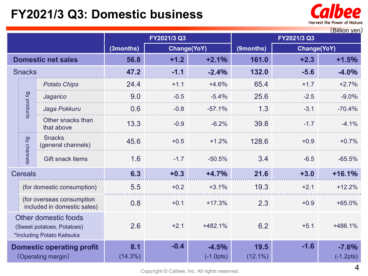# **FY2021/3 Q3: Domestic business**



| (Billion yen)                                                                           |                                                          |                                     |           |                        |                    |        |                        |          |  |
|-----------------------------------------------------------------------------------------|----------------------------------------------------------|-------------------------------------|-----------|------------------------|--------------------|--------|------------------------|----------|--|
|                                                                                         |                                                          |                                     |           | FY2021/3 Q3            |                    |        |                        |          |  |
|                                                                                         |                                                          |                                     | (3months) |                        | Change(YoY)        |        | Change(YoY)            |          |  |
| <b>Domestic net sales</b>                                                               |                                                          | 56.8                                | $+1.2$    | $+2.1%$                | 161.0              | $+2.3$ | $+1.5%$                |          |  |
| <b>Snacks</b>                                                                           |                                                          | 47.2                                | $-1.1$    | $-2.4%$                | 132.0              | $-5.6$ | $-4.0%$                |          |  |
|                                                                                         |                                                          | <b>Potato Chips</b>                 | 24.4      | $+1.1$                 | $+4.6%$            | 65.4   | $+1.7$                 | $+2.7%$  |  |
|                                                                                         |                                                          | Jagarico                            | 9.0       | $-0.5$                 | $-5.4%$            | 25.6   | $-2.5$                 | $-9.0%$  |  |
|                                                                                         | By products                                              | Jaga Pokkuru                        | 0.6       | $-0.8$                 | $-57.1%$           | 1.3    | $-3.1$                 | $-70.4%$ |  |
|                                                                                         |                                                          | Other snacks than<br>that above     | 13.3      | $-0.9$                 | $-6.2%$            | 39.8   | $-1.7$                 | $-4.1%$  |  |
|                                                                                         | By channels                                              | <b>Snacks</b><br>(general channels) | 45.6      | $+0.5$                 | $+1.2%$            | 128.6  | $+0.9$                 | $+0.7%$  |  |
|                                                                                         |                                                          | <b>Gift snack items</b>             | 1.6       | $-1.7$                 | $-50.5%$           | 3.4    | $-6.5$                 | $-65.5%$ |  |
|                                                                                         | <b>Cereals</b>                                           |                                     | 6.3       | $+0.3$                 | $+4.7%$            | 21.6   | $+3.0$                 | $+16.1%$ |  |
|                                                                                         |                                                          | (for domestic consumption)          | 5.5       | $+0.2$                 | $+3.1%$            | 19.3   | $+2.1$                 | $+12.2%$ |  |
|                                                                                         | (for overseas consumption<br>included in domestic sales) |                                     | 0.8       | $+0.1$                 | $+17.3%$           | 2.3    | $+0.9$                 | $+65.0%$ |  |
| <b>Other domestic foods</b><br>(Sweet potatoes, Potatoes)<br>*Including Potato Kaitsuka |                                                          | 2.6                                 | $+2.1$    | +482.1%                | 6.2                | $+5.1$ | +486.1%                |          |  |
| <b>Domestic operating profit</b><br>(Operating margin)                                  |                                                          | 8.1<br>$(14.3\%)$                   | $-0.4$    | $-4.5%$<br>$(-1.0pts)$ | 19.5<br>$(12.1\%)$ | $-1.6$ | $-7.6%$<br>$(-1.2pts)$ |          |  |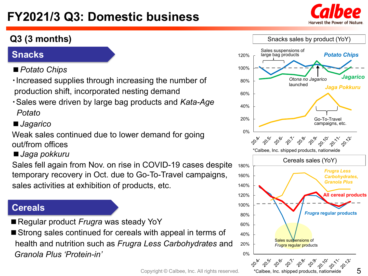# **FY2021/3 Q3: Domestic business**



5



\*Calbee, Inc. shipped products, nationwide

## **Q3 (3 months)**

## **Snacks**

# *■Potato Chips*

- ・Increased supplies through increasing the number of production shift, incorporated nesting demand
- ・Sales were driven by large bag products and *Kata-Age Potato*

## ■*Jagarico*

Weak sales continued due to lower demand for going out/from offices

### ■*Jaga pokkuru*

Sales fell again from Nov. on rise in COVID-19 cases despite temporary recovery in Oct. due to Go-To-Travel campaigns, sales activities at exhibition of products, etc.

### **Cereals**

■ Regular product *Frugra* was steady YoY

■ Strong sales continued for cereals with appeal in terms of health and nutrition such as *Frugra Less Carbohydrates* and *Granola Plus 'Protein-in'*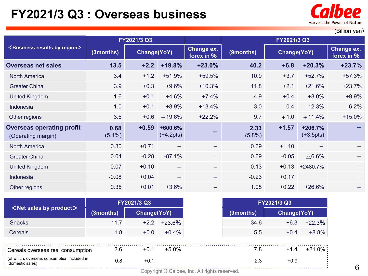# **FY2021/3 Q3 : Overseas business**



(Billion yen)

|                                                        | FY2021/3 Q3       |             |                          |                          | FY2021/3 Q3       |             |                          |                          |
|--------------------------------------------------------|-------------------|-------------|--------------------------|--------------------------|-------------------|-------------|--------------------------|--------------------------|
| <business by="" region="" results=""></business>       | (3months)         | Change(YoY) |                          | Change ex.<br>forex in % | (9months)         | Change(YoY) |                          | Change ex.<br>forex in % |
| <b>Overseas net sales</b>                              | $13.5$            | $+2.2$      | $+19.8%$                 | $+23.0%$                 | 40.2              | $+6.8$      | $+20.3%$                 | $+23.7%$                 |
| <b>North America</b>                                   | 3.4               | $+1.2$      | $+51.9%$                 | $+59.5%$                 | 10.9              | $+3.7$      | $+52.7%$                 | $+57.3%$                 |
| <b>Greater China</b>                                   | 3.9               | $+0.3$      | $+9.6%$                  | $+10.3%$                 | 11.8              | $+2.1$      | $+21.6%$                 | $+23.7%$                 |
| <b>United Kingdom</b>                                  | 1.6               | $+0.1$      | $+4.6%$                  | $+7.4%$                  | 4.9               | $+0.4$      | $+8.0%$                  | $+9.9%$                  |
| Indonesia                                              | 1.0               | $+0.1$      | $+8.9%$                  | $+13.4%$                 | 3.0               | $-0.4$      | $-12.3%$                 | $-6.2%$                  |
| Other regions                                          | 3.6               | $+0.6$      | $+19.6%$                 | $+22.2%$                 | 9.7               | $+1.0$      | $+11.4%$                 | $+15.0%$                 |
| <b>Overseas operating profit</b><br>(Operating margin) | 0.68<br>$(5.1\%)$ | $+0.59$     | $+600.6%$<br>$(+4.2pts)$ |                          | 2.33<br>$(5.8\%)$ | $+1.57$     | $+206.7%$<br>$(+3.5pts)$ |                          |
| <b>North America</b>                                   | 0.30              | $+0.71$     |                          |                          | 0.69              | $+1.10$     |                          |                          |
| <b>Greater China</b>                                   | 0.04              | $-0.28$     | $-87.1%$                 |                          | 0.69              | $-0.05$     | $\triangle$ 6.6%         |                          |
| <b>United Kingdom</b>                                  | 0.07              | $+0.10$     | -                        |                          | 0.13              | $+0.13$     | +2480.7%                 |                          |
| Indonesia                                              | $-0.08$           | $+0.04$     | -                        |                          | $-0.23$           | $+0.17$     |                          |                          |
| Other regions                                          | 0.35              | $+0.01$     | $+3.6%$                  |                          | 1.05              | $+0.22$     | $+26.6%$                 |                          |

|                                                                |           | FY2021/3 Q3        |          |                                               | FY2021/3 Q3  |             |           |
|----------------------------------------------------------------|-----------|--------------------|----------|-----------------------------------------------|--------------|-------------|-----------|
| $\leq$ Net sales by product $\geq$                             | (3months) | <b>Change(YoY)</b> |          |                                               | $(9$ months) | Change(YoY) |           |
| <b>Snacks</b>                                                  | 11.7      | $+2.2$             | $+23.6%$ |                                               | 34.6         | $+6.3$      | $+22.3%$  |
| <b>Cereals</b>                                                 | 1.8       | $+0.0$             | $+0.4%$  |                                               | 5.5          | $+0.4$      | $+8.8%$   |
| Cereals overseas real consumption                              | 2.6       | $+0.1$             | $+5.0%$  |                                               | 7.8          | $+1.4$      | $+21.0\%$ |
| (of which, overseas consumption included in<br>domestic sales) | 0.8       | $+0.1$             |          |                                               | 2.3          | $+0.9$      |           |
|                                                                |           |                    |          | Copyright © Calbee, Inc. All rights reserved. |              |             |           |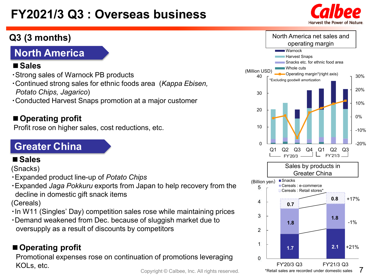# **FY2021/3 Q3 : Overseas business**

# **North America**

### **■Sales**

- ・Strong sales of Warnock PB products
- ・Continued strong sales for ethnic foods area (*Kappa Ebisen, Potato Chips, Jagarico*)
- ・Conducted Harvest Snaps promotion at a major customer

## **■Operating profit**

Profit rose on higher sales, cost reductions, etc.

# **Greater China**

### **■Sales**

(Snacks)

・Expanded product line-up of *Potato Chips*

・Expanded *Jaga Pokkuru* exports from Japan to help recovery from the decline in domestic gift snack items

(Cereals)

- ・In W11 (Singles' Day) competition sales rose while maintaining prices
- ・Demand weakened from Dec. because of sluggish market due to oversupply as a result of discounts by competitors

# ■ Operating profit

Promotional expenses rose on continuation of promotions leveraging KOLs, etc.



7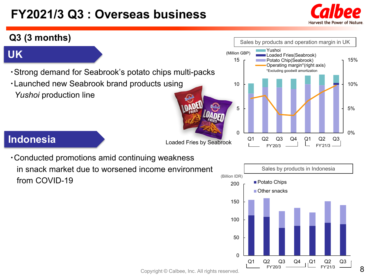# **FY2021/3 Q3 : Overseas business**



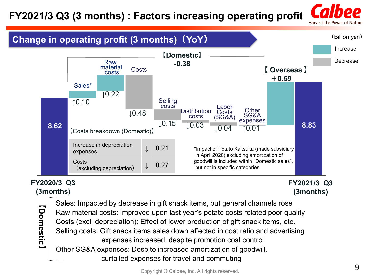# **FY2021/3 Q3 (3 months) : Factors increasing operating profit**

Harvest the Power of Nature



## **(3months)**

**FY2021/3 Q3 (3months)**

**【Domestic**Domestic] Sales: Impacted by decrease in gift snack items, but general channels rose Raw material costs: Improved upon last year's potato costs related poor quality Costs (excl. depreciation): Effect of lower production of gift snack items, etc. Selling costs: Gift snack items sales down affected in cost ratio and advertising expenses increased, despite promotion cost control Other SG&A expenses: Despite increased amortization of goodwill, curtailed expenses for travel and commuting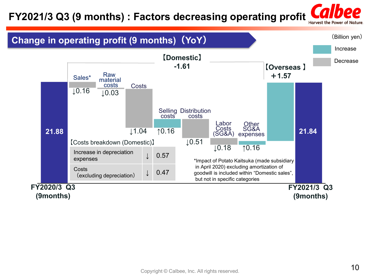# **FY2021/3 Q3 (9 months) : Factors decreasing operating profit**

Harvest the Power of Nature.

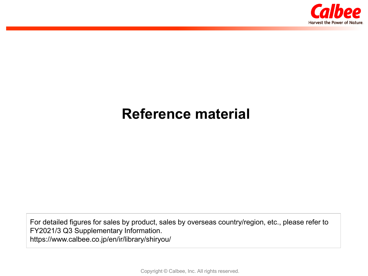

# **Reference material**

For detailed figures for sales by product, sales by overseas country/region, etc., please refer to FY2021/3 Q3 Supplementary Information. https://www.calbee.co.jp/en/ir/library/shiryou/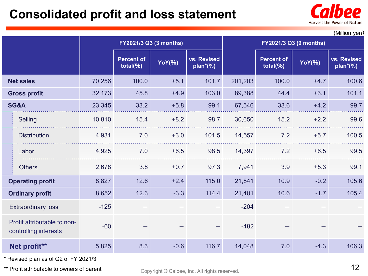# **Consolidated profit and loss statement**



| (Million yen)                                        |        |                                   |                        |                            |         |                                   |        |                            |
|------------------------------------------------------|--------|-----------------------------------|------------------------|----------------------------|---------|-----------------------------------|--------|----------------------------|
|                                                      |        |                                   | FY2021/3 Q3 (3 months) |                            |         |                                   |        |                            |
|                                                      |        | <b>Percent of</b><br>total $(% )$ | <b>YoY(%)</b>          | vs. Revised<br>$plan*(\%)$ |         | <b>Percent of</b><br>total $(% )$ | YoY(%) | vs. Revised<br>$plan*(\%)$ |
| <b>Net sales</b>                                     | 70,256 | 100.0                             | $+5.1$                 | 101.7                      | 201,203 | 100.0                             | $+4.7$ | 100.6                      |
| <b>Gross profit</b>                                  | 32,173 | 45.8                              | $+4.9$                 | 103.0                      | 89,388  | 44.4                              | $+3.1$ | 101.1                      |
| <b>SG&amp;A</b>                                      | 23,345 | 33.2                              | $+5.8$                 | 99.1                       | 67,546  | 33.6                              | $+4.2$ | 99.7                       |
| Selling                                              | 10,810 | 15.4                              | $+8.2$                 | 98.7                       | 30,650  | 15.2                              | $+2.2$ | 99.6                       |
| <b>Distribution</b>                                  | 4,931  | 7.0                               | $+3.0$                 | 101.5                      | 14,557  | 7.2                               | $+5.7$ | 100.5                      |
| Labor                                                | 4,925  | 7.0                               | $+6.5$                 | 98.5                       | 14,397  | 7.2                               | $+6.5$ | 99.5                       |
| <b>Others</b>                                        | 2,678  | 3.8                               | $+0.7$                 | 97.3                       | 7,941   | 3.9                               | $+5.3$ | 99.1                       |
| <b>Operating profit</b>                              | 8,827  | 12.6                              | $+2.4$                 | 115.0                      | 21,841  | 10.9                              | $-0.2$ | 105.6                      |
| <b>Ordinary profit</b>                               | 8,652  | 12.3                              | $-3.3$                 | 114.4                      | 21,401  | 10.6                              | $-1.7$ | 105.4                      |
| <b>Extraordinary loss</b>                            | $-125$ |                                   |                        |                            | $-204$  |                                   |        |                            |
| Profit attributable to non-<br>controlling interests | $-60$  |                                   |                        |                            | $-482$  |                                   |        |                            |
| Net profit**                                         | 5,825  | 8.3                               | $-0.6$                 | 116.7                      | 14,048  | 7.0                               | $-4.3$ | 106.3                      |

\* Revised plan as of Q2 of FY 2021/3

\*\* Profit attributable to owners of parent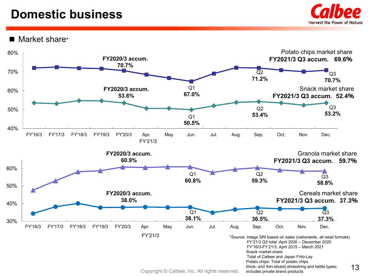# **Domestic business**



Market share\*